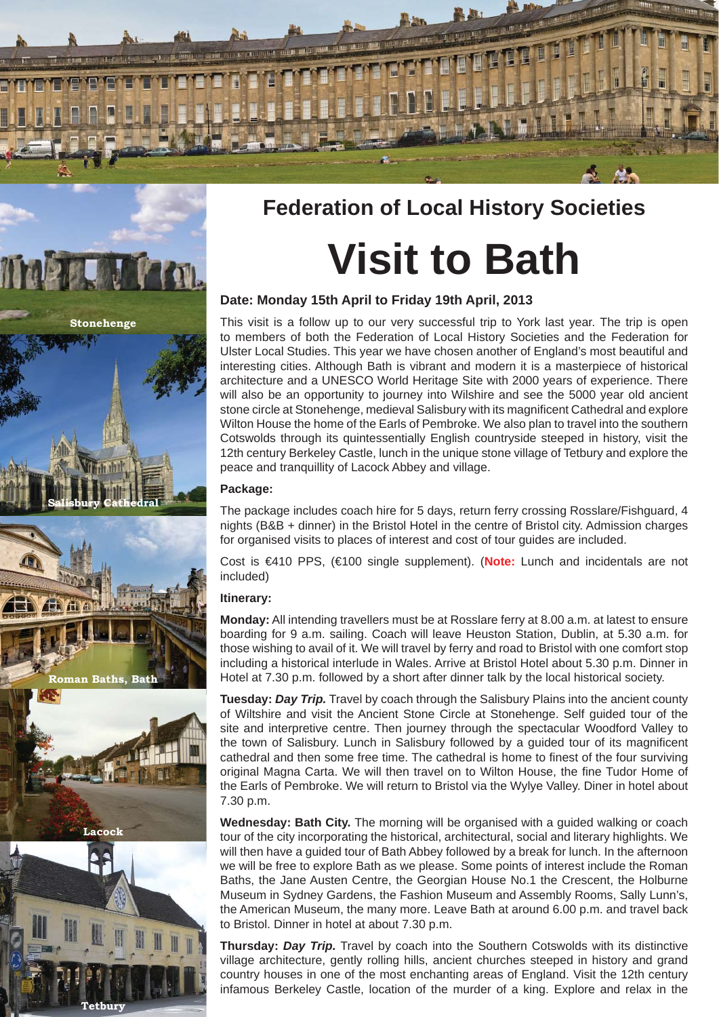

# **Federation of Local History Societies Visit to Bath**

# **Date: Monday 15th April to Friday 19th April, 2013**

This visit is a follow up to our very successful trip to York last year. The trip is open to members of both the Federation of Local History Societies and the Federation for Ulster Local Studies. This year we have chosen another of England's most beautiful and interesting cities. Although Bath is vibrant and modern it is a masterpiece of historical architecture and a UNESCO World Heritage Site with 2000 years of experience. There will also be an opportunity to journey into Wilshire and see the 5000 year old ancient stone circle at Stonehenge, medieval Salisbury with its magnificent Cathedral and explore Wilton House the home of the Earls of Pembroke. We also plan to travel into the southern Cotswolds through its quintessentially English countryside steeped in history, visit the 12th century Berkeley Castle, lunch in the unique stone village of Tetbury and explore the peace and tranquillity of Lacock Abbey and village.

## **Package:**

The package includes coach hire for 5 days, return ferry crossing Rosslare/Fishguard, 4 nights (B&B + dinner) in the Bristol Hotel in the centre of Bristol city. Admission charges for organised visits to places of interest and cost of tour guides are included.

Cost is €410 PPS, (€100 single supplement). (**Note:** Lunch and incidentals are not included)

# **Itinerary:**

**Tetbury**

**Lacock**

**Roman Baths, Bath**

**Salisbury Cathedral**

**Stonehenge**

The

**ALL MACH.** 

**Monday:** All intending travellers must be at Rosslare ferry at 8.00 a.m. at latest to ensure boarding for 9 a.m. sailing. Coach will leave Heuston Station, Dublin, at 5.30 a.m. for those wishing to avail of it. We will travel by ferry and road to Bristol with one comfort stop including a historical interlude in Wales. Arrive at Bristol Hotel about 5.30 p.m. Dinner in Hotel at 7.30 p.m. followed by a short after dinner talk by the local historical society.

**Tuesday:** *Day Trip.* Travel by coach through the Salisbury Plains into the ancient county of Wiltshire and visit the Ancient Stone Circle at Stonehenge. Self guided tour of the site and interpretive centre. Then journey through the spectacular Woodford Valley to the town of Salisbury. Lunch in Salisbury followed by a guided tour of its magnificent cathedral and then some free time. The cathedral is home to finest of the four surviving original Magna Carta. We will then travel on to Wilton House, the fine Tudor Home of the Earls of Pembroke. We will return to Bristol via the Wylye Valley. Diner in hotel about 7.30 p.m.

**Wednesday: Bath City.** The morning will be organised with a guided walking or coach tour of the city incorporating the historical, architectural, social and literary highlights. We will then have a guided tour of Bath Abbey followed by a break for lunch. In the afternoon we will be free to explore Bath as we please. Some points of interest include the Roman Baths, the Jane Austen Centre, the Georgian House No.1 the Crescent, the Holburne Museum in Sydney Gardens, the Fashion Museum and Assembly Rooms, Sally Lunn's, the American Museum, the many more. Leave Bath at around 6.00 p.m. and travel back to Bristol. Dinner in hotel at about 7.30 p.m.

**Thursday:** *Day Trip.* Travel by coach into the Southern Cotswolds with its distinctive village architecture, gently rolling hills, ancient churches steeped in history and grand country houses in one of the most enchanting areas of England. Visit the 12th century infamous Berkeley Castle, location of the murder of a king. Explore and relax in the